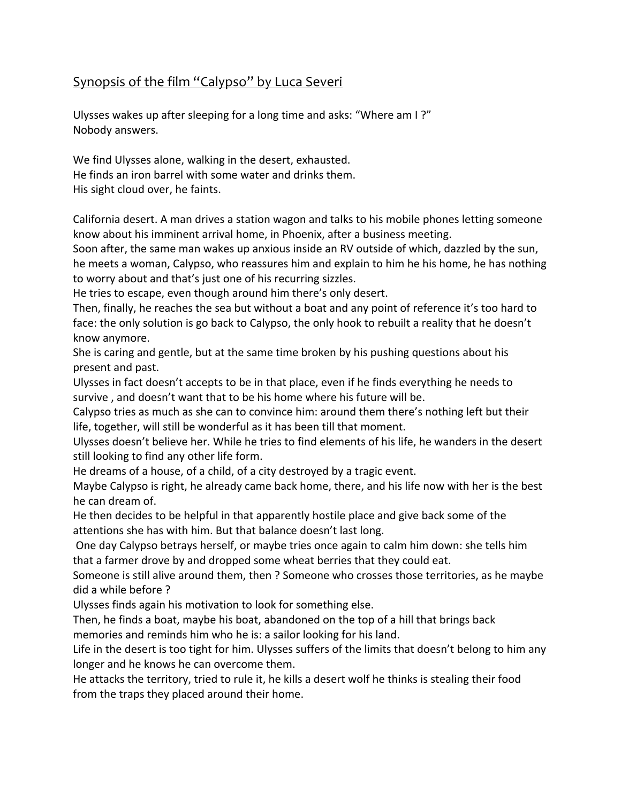## Synopsis of the film "Calypso" by Luca Severi

Ulysses wakes up after sleeping for a long time and asks: "Where am I?" Nobody answers.

We find Ulysses alone, walking in the desert, exhausted. He finds an iron barrel with some water and drinks them. His sight cloud over, he faints.

California desert. A man drives a station wagon and talks to his mobile phones letting someone know about his imminent arrival home, in Phoenix, after a business meeting.

Soon after, the same man wakes up anxious inside an RV outside of which, dazzled by the sun, he meets a woman, Calypso, who reassures him and explain to him he his home, he has nothing to worry about and that's just one of his recurring sizzles.

He tries to escape, even though around him there's only desert.

Then, finally, he reaches the sea but without a boat and any point of reference it's too hard to face: the only solution is go back to Calypso, the only hook to rebuilt a reality that he doesn't know anymore.

She is caring and gentle, but at the same time broken by his pushing questions about his present and past.

Ulysses in fact doesn't accepts to be in that place, even if he finds everything he needs to survive, and doesn't want that to be his home where his future will be.

Calypso tries as much as she can to convince him: around them there's nothing left but their life, together, will still be wonderful as it has been till that moment.

Ulysses doesn't believe her. While he tries to find elements of his life, he wanders in the desert still looking to find any other life form.

He dreams of a house, of a child, of a city destroyed by a tragic event.

Maybe Calypso is right, he already came back home, there, and his life now with her is the best he can dream of.

He then decides to be helpful in that apparently hostile place and give back some of the attentions she has with him. But that balance doesn't last long.

One day Calypso betrays herself, or maybe tries once again to calm him down: she tells him that a farmer drove by and dropped some wheat berries that they could eat.

Someone is still alive around them, then ? Someone who crosses those territories, as he maybe did a while before?

Ulysses finds again his motivation to look for something else.

Then, he finds a boat, maybe his boat, abandoned on the top of a hill that brings back memories and reminds him who he is: a sailor looking for his land.

Life in the desert is too tight for him. Ulysses suffers of the limits that doesn't belong to him any longer and he knows he can overcome them.

He attacks the territory, tried to rule it, he kills a desert wolf he thinks is stealing their food from the traps they placed around their home.